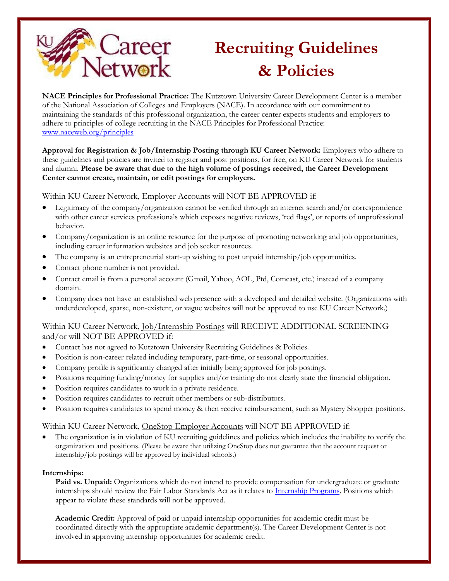

## **Recruiting Guidelines & Policies**

**NACE Principles for Professional Practice:** The Kutztown University Career Development Center is a member of the National Association of Colleges and Employers (NACE). In accordance with our commitment to maintaining the standards of this professional organization, the career center expects students and employers to adhere to principles of college recruiting in the NACE Principles for Professional Practice: [www.naceweb.org/principles](http://www.naceweb.org/principles)

**Approval for Registration & Job/Internship Posting through KU Career Network:** Employers who adhere to these guidelines and policies are invited to register and post positions, for free, on KU Career Network for students and alumni. **Please be aware that due to the high volume of postings received, the Career Development Center cannot create, maintain, or edit postings for employers.**

Within KU Career Network, *Employer Accounts* will NOT BE APPROVED if:

- Legitimacy of the company/organization cannot be verified through an internet search and/or correspondence with other career services professionals which exposes negative reviews, 'red flags', or reports of unprofessional behavior.
- Company/organization is an online resource for the purpose of promoting networking and job opportunities, including career information websites and job seeker resources.
- The company is an entrepreneurial start-up wishing to post unpaid internship/job opportunities.
- Contact phone number is not provided.
- Contact email is from a personal account (Gmail, Yahoo, AOL, Ptd, Comcast, etc.) instead of a company domain.
- Company does not have an established web presence with a developed and detailed website. (Organizations with underdeveloped, sparse, non-existent, or vague websites will not be approved to use KU Career Network.)

## Within KU Career Network, Job/Internship Postings will RECEIVE ADDITIONAL SCREENING and/or will NOT BE APPROVED if:

- Contact has not agreed to Kutztown University Recruiting Guidelines & Policies.
- Position is non-career related including temporary, part-time, or seasonal opportunities.
- Company profile is significantly changed after initially being approved for job postings.
- Positions requiring funding/money for supplies and/or training do not clearly state the financial obligation.
- Position requires candidates to work in a private residence.
- Position requires candidates to recruit other members or sub-distributors.
- Position requires candidates to spend money & then receive reimbursement, such as Mystery Shopper positions.

## Within KU Career Network, OneStop Employer Accounts will NOT BE APPROVED if:

 The organization is in violation of KU recruiting guidelines and policies which includes the inability to verify the organization and positions. (Please be aware that utilizing OneStop does not guarantee that the account request or internship/job postings will be approved by individual schools.)

## **Internships:**

**Paid vs. Unpaid:** Organizations which do not intend to provide compensation for undergraduate or graduate internships should review the Fair Labor Standards Act as it relates to [Internship Programs.](http://www.dol.gov/whd/regs/compliance/whdfs71.pdf) Positions which appear to violate these standards will not be approved.

**Academic Credit:** Approval of paid or unpaid internship opportunities for academic credit must be coordinated directly with the appropriate academic department(s). The Career Development Center is not involved in approving internship opportunities for academic credit.